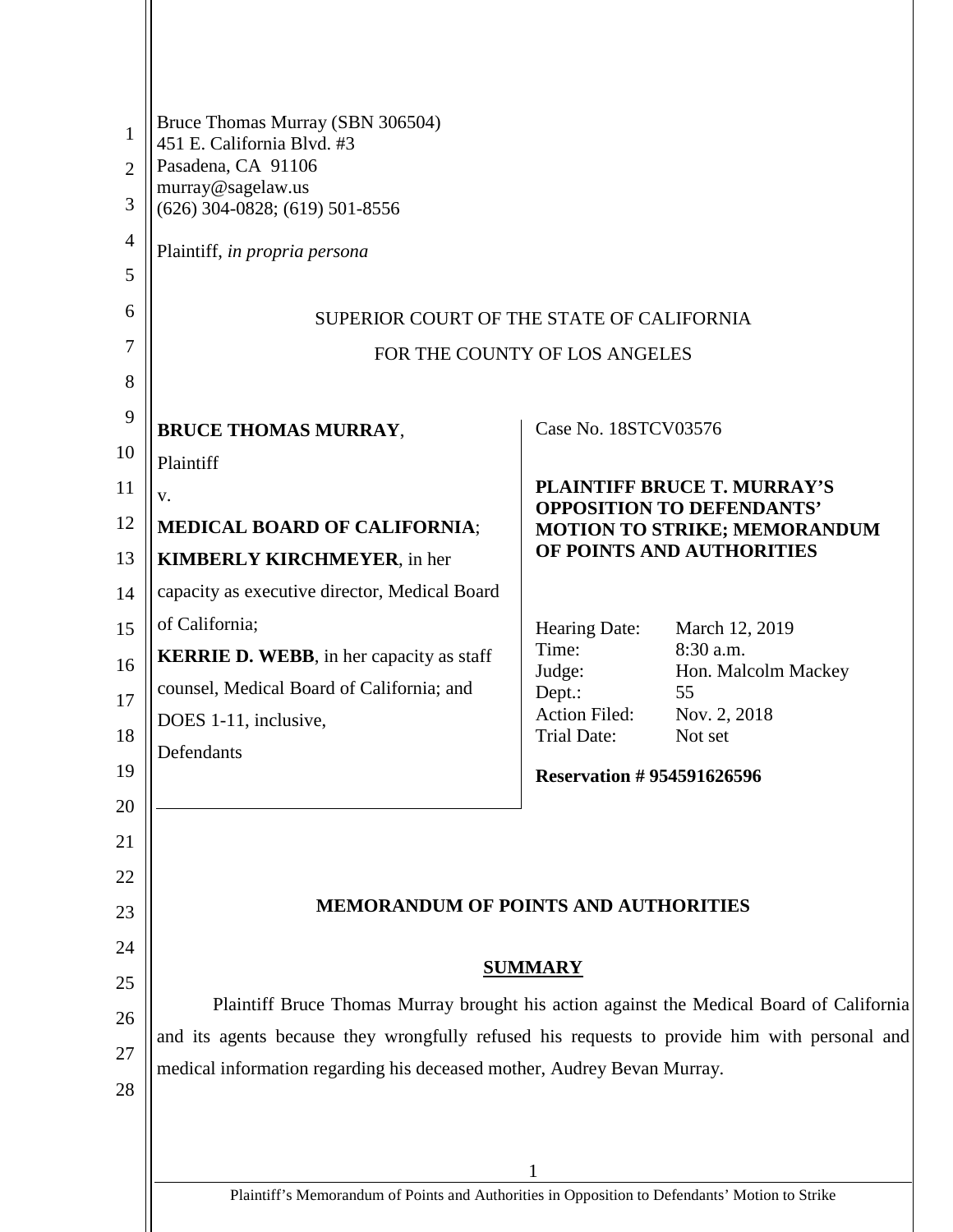| 1<br>$\overline{2}$<br>3 | Bruce Thomas Murray (SBN 306504)<br>451 E. California Blvd. #3<br>Pasadena, CA 91106<br>murray@sagelaw.us<br>$(626)$ 304-0828; $(619)$ 501-8556                         |                                                                                                                                            |                                  |  |
|--------------------------|-------------------------------------------------------------------------------------------------------------------------------------------------------------------------|--------------------------------------------------------------------------------------------------------------------------------------------|----------------------------------|--|
| $\overline{4}$           | Plaintiff, in propria persona                                                                                                                                           |                                                                                                                                            |                                  |  |
| 5                        |                                                                                                                                                                         |                                                                                                                                            |                                  |  |
| 6                        | SUPERIOR COURT OF THE STATE OF CALIFORNIA                                                                                                                               |                                                                                                                                            |                                  |  |
| 7                        | FOR THE COUNTY OF LOS ANGELES                                                                                                                                           |                                                                                                                                            |                                  |  |
| 8                        |                                                                                                                                                                         |                                                                                                                                            |                                  |  |
| 9                        | <b>BRUCE THOMAS MURRAY,</b>                                                                                                                                             | Case No. 18STCV03576                                                                                                                       |                                  |  |
| 10                       | Plaintiff                                                                                                                                                               |                                                                                                                                            |                                  |  |
| 11                       | V.                                                                                                                                                                      | <b>PLAINTIFF BRUCE T. MURRAY'S</b><br><b>OPPOSITION TO DEFENDANTS'</b><br><b>MOTION TO STRIKE; MEMORANDUM</b><br>OF POINTS AND AUTHORITIES |                                  |  |
| 12                       | <b>MEDICAL BOARD OF CALIFORNIA;</b>                                                                                                                                     |                                                                                                                                            |                                  |  |
| 13                       | <b>KIMBERLY KIRCHMEYER, in her</b>                                                                                                                                      |                                                                                                                                            |                                  |  |
| 14                       | capacity as executive director, Medical Board                                                                                                                           |                                                                                                                                            |                                  |  |
| 15                       | of California;                                                                                                                                                          | Hearing Date:                                                                                                                              | March 12, 2019                   |  |
| 16                       | <b>KERRIE D. WEBB</b> , in her capacity as staff                                                                                                                        | Time:<br>Judge:                                                                                                                            | 8:30 a.m.<br>Hon. Malcolm Mackey |  |
| 17                       | counsel, Medical Board of California; and                                                                                                                               | Dept.:                                                                                                                                     | 55                               |  |
| 18                       | DOES 1-11, inclusive,                                                                                                                                                   | <b>Action Filed:</b><br><b>Trial Date:</b>                                                                                                 | Nov. 2, 2018<br>Not set          |  |
| 19                       | Defendants                                                                                                                                                              | <b>Reservation #954591626596</b>                                                                                                           |                                  |  |
| 20                       |                                                                                                                                                                         |                                                                                                                                            |                                  |  |
| 21                       |                                                                                                                                                                         |                                                                                                                                            |                                  |  |
| 22                       |                                                                                                                                                                         |                                                                                                                                            |                                  |  |
| 23                       | <b>MEMORANDUM OF POINTS AND AUTHORITIES</b>                                                                                                                             |                                                                                                                                            |                                  |  |
| 24                       |                                                                                                                                                                         |                                                                                                                                            |                                  |  |
| 25                       | <b>SUMMARY</b>                                                                                                                                                          |                                                                                                                                            |                                  |  |
|                          | Plaintiff Bruce Thomas Murray brought his action against the Medical Board of California                                                                                |                                                                                                                                            |                                  |  |
| 26                       | and its agents because they wrongfully refused his requests to provide him with personal and<br>medical information regarding his deceased mother, Audrey Bevan Murray. |                                                                                                                                            |                                  |  |
| 27                       |                                                                                                                                                                         |                                                                                                                                            |                                  |  |
| 28                       |                                                                                                                                                                         |                                                                                                                                            |                                  |  |
|                          |                                                                                                                                                                         |                                                                                                                                            |                                  |  |
|                          |                                                                                                                                                                         |                                                                                                                                            |                                  |  |
|                          | Plaintiff's Memorandum of Points and Authorities in Opposition to Defendants' Motion to Strike                                                                          |                                                                                                                                            |                                  |  |

 $\mathbf{\mathsf{H}}$ 

Plaintiff's Memorandum of Points and Authorities in Opposition to Defendants' Motion to Strike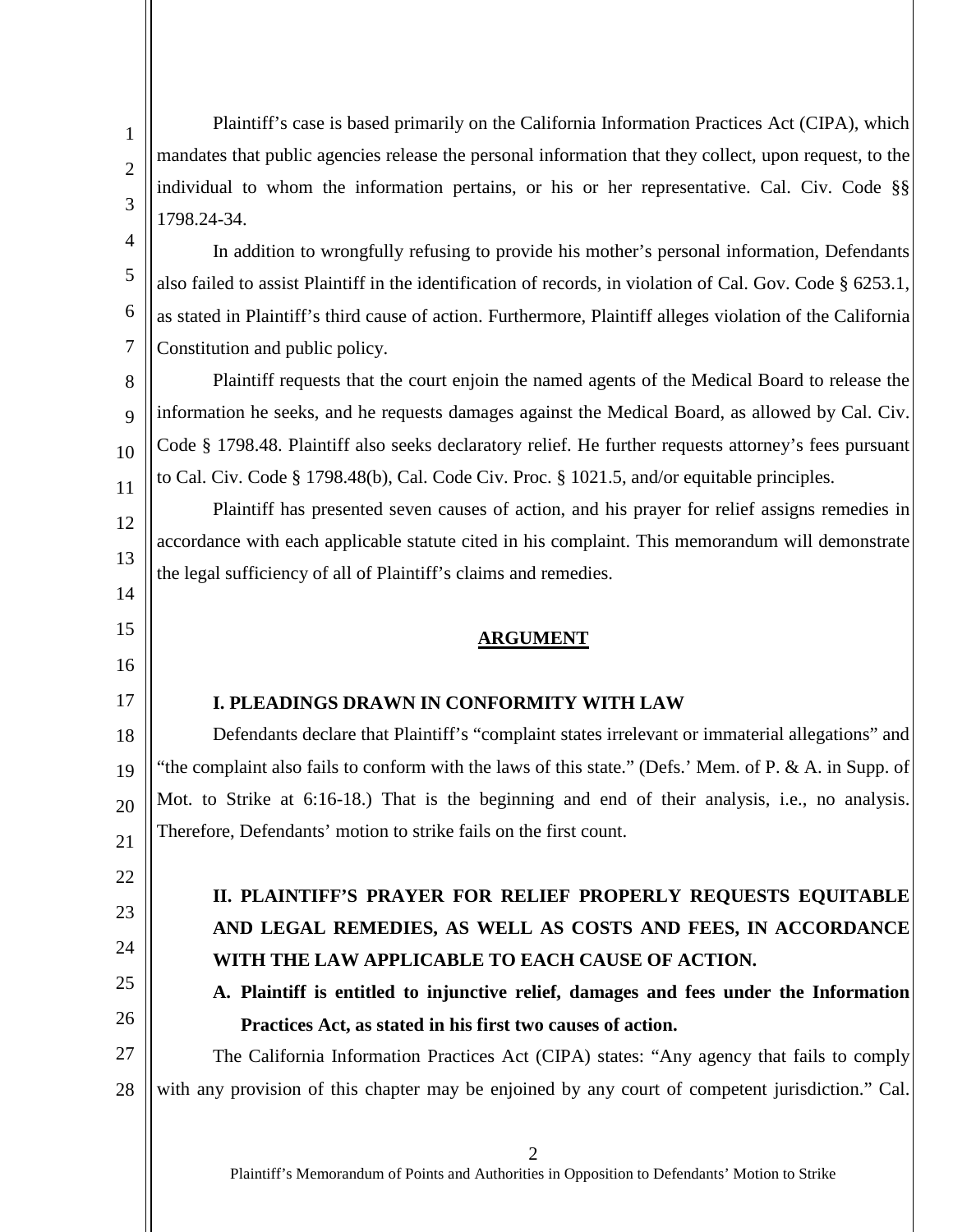Plaintiff's case is based primarily on the California Information Practices Act (CIPA), which mandates that public agencies release the personal information that they collect, upon request, to the individual to whom the information pertains, or his or her representative. Cal. Civ. Code §§ 1798.24-34.

1

2

3

4

5

6

7

8

9

10

11

12

13

14

15

16

17

22

23

24

25

26

In addition to wrongfully refusing to provide his mother's personal information, Defendants also failed to assist Plaintiff in the identification of records, in violation of Cal. Gov. Code § 6253.1, as stated in Plaintiff's third cause of action. Furthermore, Plaintiff alleges violation of the California Constitution and public policy.

Plaintiff requests that the court enjoin the named agents of the Medical Board to release the information he seeks, and he requests damages against the Medical Board, as allowed by Cal. Civ. Code § 1798.48. Plaintiff also seeks declaratory relief. He further requests attorney's fees pursuant to Cal. Civ. Code § 1798.48(b), Cal. Code Civ. Proc. § 1021.5, and/or equitable principles.

Plaintiff has presented seven causes of action, and his prayer for relief assigns remedies in accordance with each applicable statute cited in his complaint. This memorandum will demonstrate the legal sufficiency of all of Plaintiff's claims and remedies.

#### **ARGUMENT**

#### **I. PLEADINGS DRAWN IN CONFORMITY WITH LAW**

18 19 20 21 Defendants declare that Plaintiff's "complaint states irrelevant or immaterial allegations" and "the complaint also fails to conform with the laws of this state." (Defs.' Mem. of P. & A. in Supp. of Mot. to Strike at 6:16-18.) That is the beginning and end of their analysis, i.e., no analysis. Therefore, Defendants' motion to strike fails on the first count.

# **II. PLAINTIFF'S PRAYER FOR RELIEF PROPERLY REQUESTS EQUITABLE AND LEGAL REMEDIES, AS WELL AS COSTS AND FEES, IN ACCORDANCE WITH THE LAW APPLICABLE TO EACH CAUSE OF ACTION.**

**A. Plaintiff is entitled to injunctive relief, damages and fees under the Information Practices Act, as stated in his first two causes of action.**

27 28 The California Information Practices Act (CIPA) states: "Any agency that fails to comply with any provision of this chapter may be enjoined by any court of competent jurisdiction." Cal.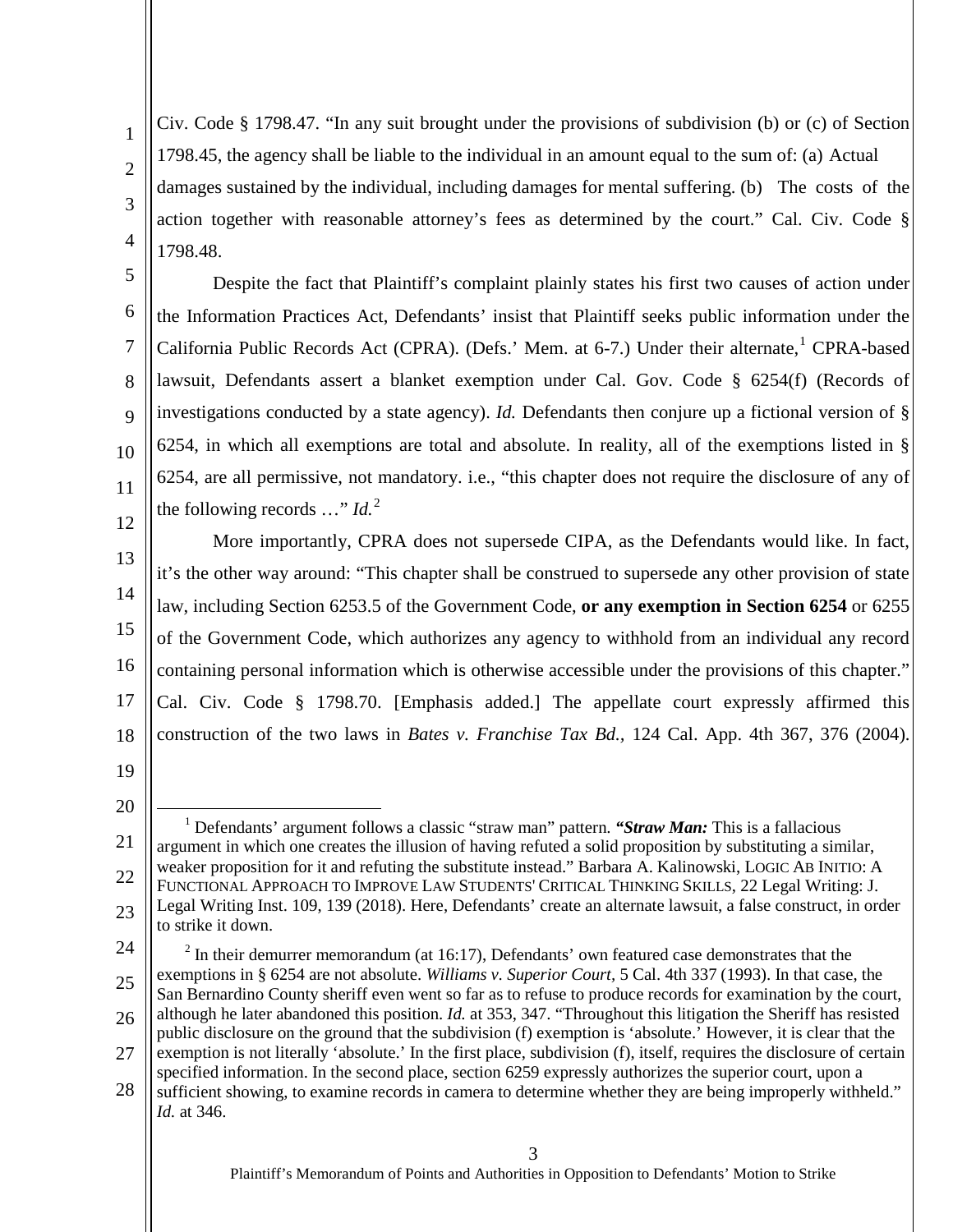Civ. Code § 1798.47. "In any suit brought under the provisions of subdivision (b) or (c) of Section 1798.45, the agency shall be liable to the individual in an amount equal to the sum of: (a) Actual damages sustained by the individual, including damages for mental suffering. (b) The costs of the action together with reasonable attorney's fees as determined by the court." Cal. Civ. Code § 1798.48.

Despite the fact that Plaintiff's complaint plainly states his first two causes of action under the Information Practices Act, Defendants' insist that Plaintiff seeks public information under the California Public Records Act (CPRA). (Defs.' Mem. at 6-7.) Under their alternate,<sup>[1](#page-2-0)</sup> CPRA-based lawsuit, Defendants assert a blanket exemption under Cal. Gov. Code § 6254(f) (Records of investigations conducted by a state agency). *Id.* Defendants then conjure up a fictional version of § 6254, in which all exemptions are total and absolute. In reality, all of the exemptions listed in § 6254, are all permissive, not mandatory. i.e., "this chapter does not require the disclosure of any of the following records  $\ldots$ " *Id.*<sup>[2](#page-2-1)</sup>

13 14 15 16 17 18 More importantly, CPRA does not supersede CIPA, as the Defendants would like. In fact, it's the other way around: "This chapter shall be construed to supersede any other provision of state law, including Section 6253.5 of the Government Code, **or any exemption in Section 6254** or 6255 of the Government Code, which authorizes any agency to withhold from an individual any record containing personal information which is otherwise accessible under the provisions of this chapter." Cal. Civ. Code § 1798.70. [Emphasis added.] The appellate court expressly affirmed this construction of the two laws in *Bates v. Franchise Tax Bd.,* 124 Cal. App. 4th 367, 376 (2004).

19

1

2

3

4

5

6

7

8

9

10

11

12

20

<span id="page-2-0"></span><sup>21</sup> 22 23 1 Defendants' argument follows a classic "straw man" pattern. *"Straw Man:* This is a fallacious argument in which one creates the illusion of having refuted a solid proposition by substituting a similar, weaker proposition for it and refuting the substitute instead." Barbara A. Kalinowski, LOGIC AB INITIO: A FUNCTIONAL APPROACH TO IMPROVE LAW STUDENTS' CRITICAL THINKING SKILLS, 22 Legal Writing: J. Legal Writing Inst. 109, 139 (2018). Here, Defendants' create an alternate lawsuit, a false construct, in order to strike it down.

<span id="page-2-1"></span><sup>25</sup> 26 27  $2$  In their demurrer memorandum (at 16:17), Defendants' own featured case demonstrates that the exemptions in § 6254 are not absolute. *Williams v. Superior Court,* 5 Cal. 4th 337 (1993). In that case, the San Bernardino County sheriff even went so far as to refuse to produce records for examination by the court, although he later abandoned this position. *Id.* at 353, 347. "Throughout this litigation the Sheriff has resisted public disclosure on the ground that the subdivision (f) exemption is 'absolute.' However, it is clear that the exemption is not literally 'absolute.' In the first place, subdivision (f), itself, requires the disclosure of certain

<sup>28</sup> specified information. In the second place, section 6259 expressly authorizes the superior court, upon a

sufficient showing, to examine records in camera to determine whether they are being improperly withheld." *Id.* at 346.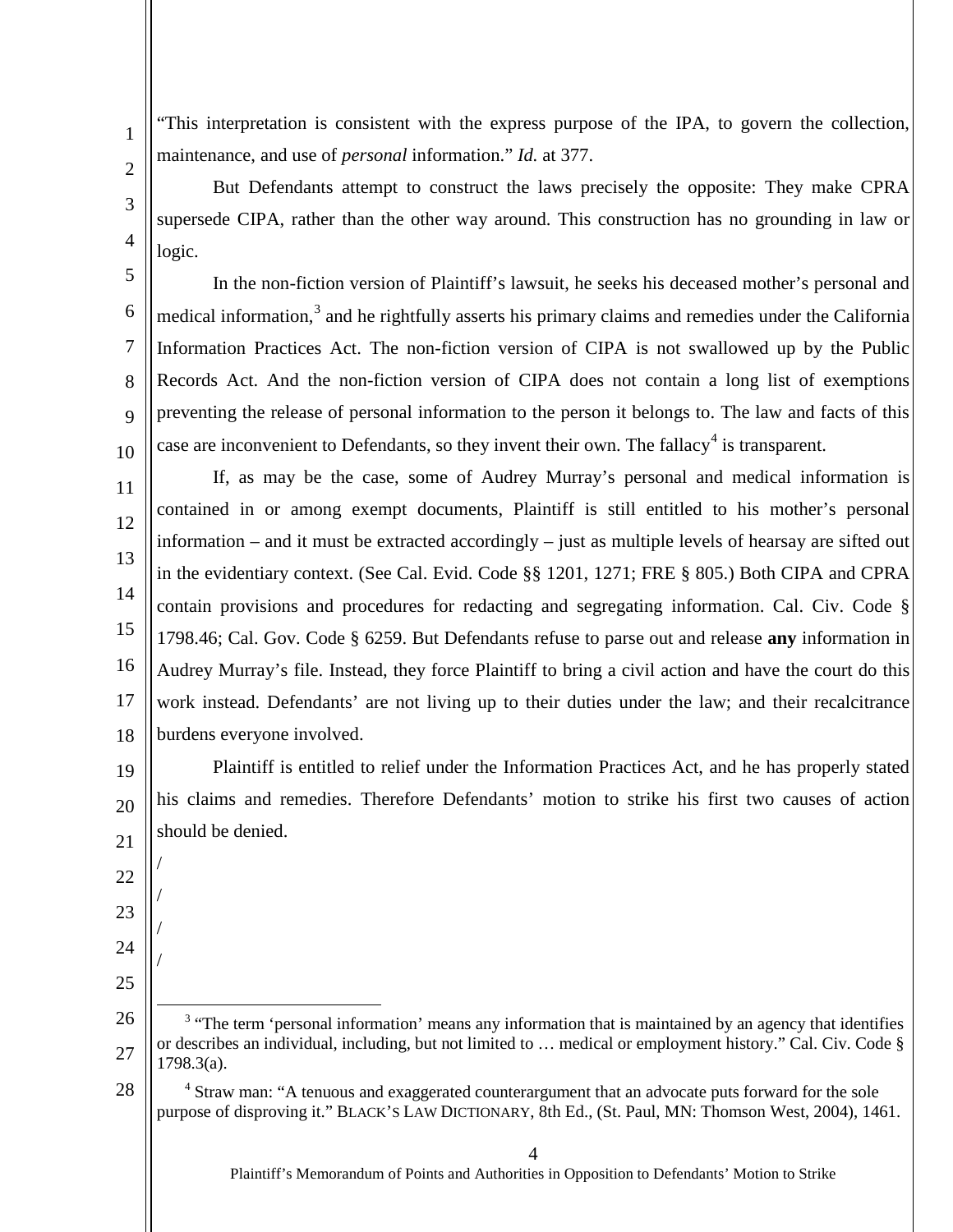"This interpretation is consistent with the express purpose of the IPA, to govern the collection, maintenance, and use of *personal* information." *Id.* at 377.

But Defendants attempt to construct the laws precisely the opposite: They make CPRA supersede CIPA, rather than the other way around. This construction has no grounding in law or logic.

In the non-fiction version of Plaintiff's lawsuit, he seeks his deceased mother's personal and medical information, $3$  and he rightfully asserts his primary claims and remedies under the California Information Practices Act. The non-fiction version of CIPA is not swallowed up by the Public Records Act. And the non-fiction version of CIPA does not contain a long list of exemptions preventing the release of personal information to the person it belongs to. The law and facts of this case are inconvenient to Defendants, so they invent their own. The fallacy<sup>[4](#page-3-1)</sup> is transparent.

11 12 13 14 15 16 17 18 If, as may be the case, some of Audrey Murray's personal and medical information is contained in or among exempt documents, Plaintiff is still entitled to his mother's personal information – and it must be extracted accordingly – just as multiple levels of hearsay are sifted out in the evidentiary context. (See Cal. Evid. Code §§ 1201, 1271; FRE § 805.) Both CIPA and CPRA contain provisions and procedures for redacting and segregating information. Cal. Civ. Code § 1798.46; Cal. Gov. Code § 6259. But Defendants refuse to parse out and release **any** information in Audrey Murray's file. Instead, they force Plaintiff to bring a civil action and have the court do this work instead. Defendants' are not living up to their duties under the law; and their recalcitrance burdens everyone involved.

19 20 21 Plaintiff is entitled to relief under the Information Practices Act, and he has properly stated his claims and remedies. Therefore Defendants' motion to strike his first two causes of action should be denied.

/

/

/

/

1

2

3

4

5

6

7

8

9

10

- 22
- 23
- 24
- 25

Plaintiff's Memorandum of Points and Authorities in Opposition to Defendants' Motion to Strike

<span id="page-3-0"></span><sup>26</sup> 27 <sup>3</sup> "The term 'personal information' means any information that is maintained by an agency that identifies or describes an individual, including, but not limited to … medical or employment history." Cal. Civ. Code § 1798.3(a).

<span id="page-3-1"></span><sup>28</sup> <sup>4</sup> Straw man: "A tenuous and exaggerated counterargument that an advocate puts forward for the sole purpose of disproving it." BLACK'S LAW DICTIONARY, 8th Ed., (St. Paul, MN: Thomson West, 2004), 1461.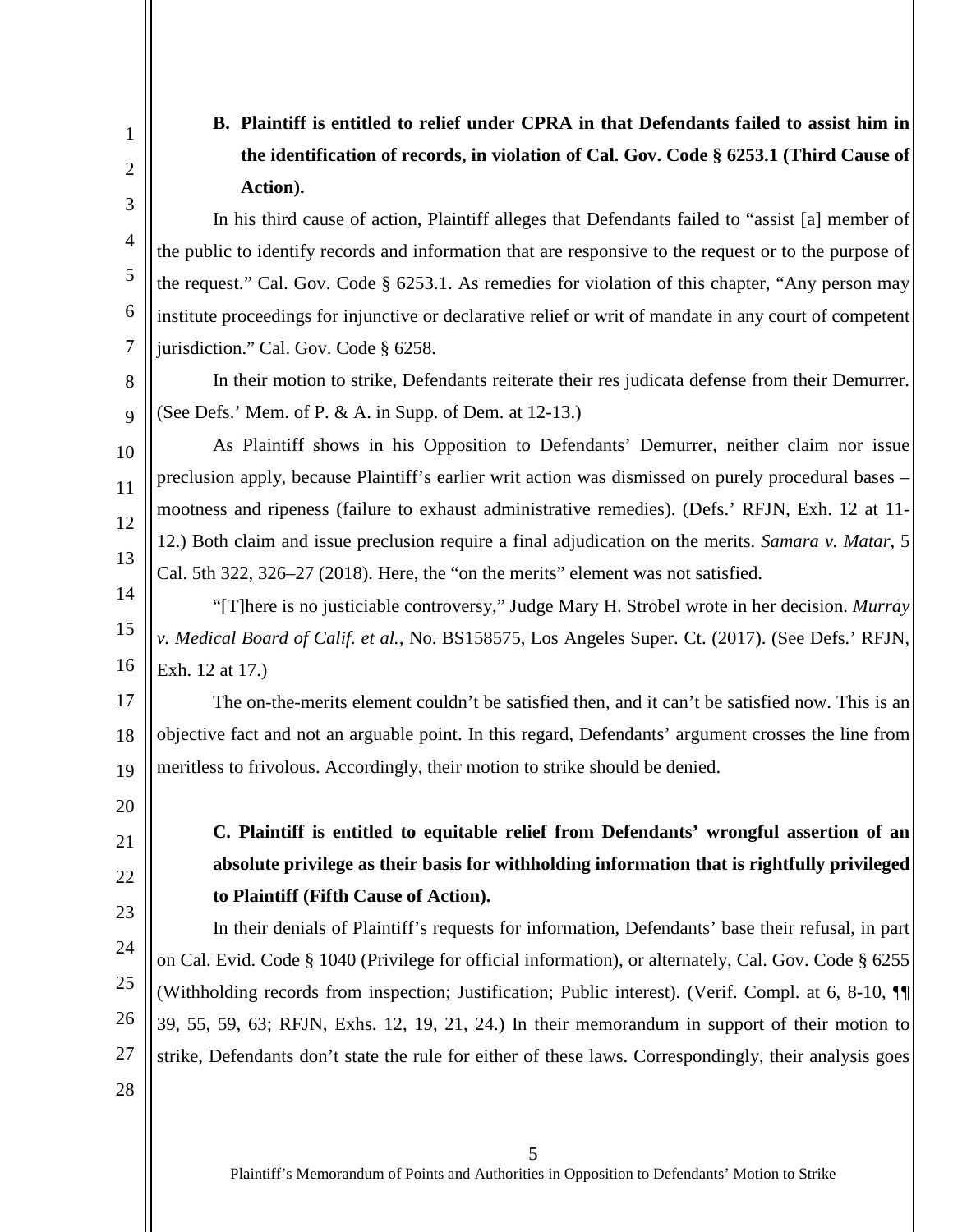1 2

3

4

5

6

7

8

9

10

11

12

13

# **B. Plaintiff is entitled to relief under CPRA in that Defendants failed to assist him in the identification of records, in violation of Cal. Gov. Code § 6253.1 (Third Cause of Action).**

In his third cause of action, Plaintiff alleges that Defendants failed to "assist [a] member of the public to identify records and information that are responsive to the request or to the purpose of the request." Cal. Gov. Code § 6253.1. As remedies for violation of this chapter, "Any person may institute proceedings for injunctive or declarative relief or writ of mandate in any court of competent jurisdiction." Cal. Gov. Code § 6258.

In their motion to strike, Defendants reiterate their res judicata defense from their Demurrer. (See Defs.' Mem. of P. & A. in Supp. of Dem. at 12-13.)

As Plaintiff shows in his Opposition to Defendants' Demurrer, neither claim nor issue preclusion apply, because Plaintiff's earlier writ action was dismissed on purely procedural bases – mootness and ripeness (failure to exhaust administrative remedies). (Defs.' RFJN, Exh. 12 at 11- 12.) Both claim and issue preclusion require a final adjudication on the merits. *Samara v. Matar,* 5 Cal. 5th 322, 326–27 (2018). Here, the "on the merits" element was not satisfied.

14 15 16 "[T]here is no justiciable controversy," Judge Mary H. Strobel wrote in her decision. *Murray v. Medical Board of Calif. et al.,* No. BS158575, Los Angeles Super. Ct. (2017). (See Defs.' RFJN, Exh. 12 at 17.)

17 18 19 The on-the-merits element couldn't be satisfied then, and it can't be satisfied now. This is an objective fact and not an arguable point. In this regard, Defendants' argument crosses the line from meritless to frivolous. Accordingly, their motion to strike should be denied.

20

21 22

23

24

25

26

27

# **C. Plaintiff is entitled to equitable relief from Defendants' wrongful assertion of an absolute privilege as their basis for withholding information that is rightfully privileged to Plaintiff (Fifth Cause of Action).**

In their denials of Plaintiff's requests for information, Defendants' base their refusal, in part on Cal. Evid. Code § 1040 (Privilege for official information), or alternately, Cal. Gov. Code § 6255 (Withholding records from inspection; Justification; Public interest). (Verif. Compl. at 6, 8-10, ¶¶ 39, 55, 59, 63; RFJN, Exhs. 12, 19, 21, 24.) In their memorandum in support of their motion to strike, Defendants don't state the rule for either of these laws. Correspondingly, their analysis goes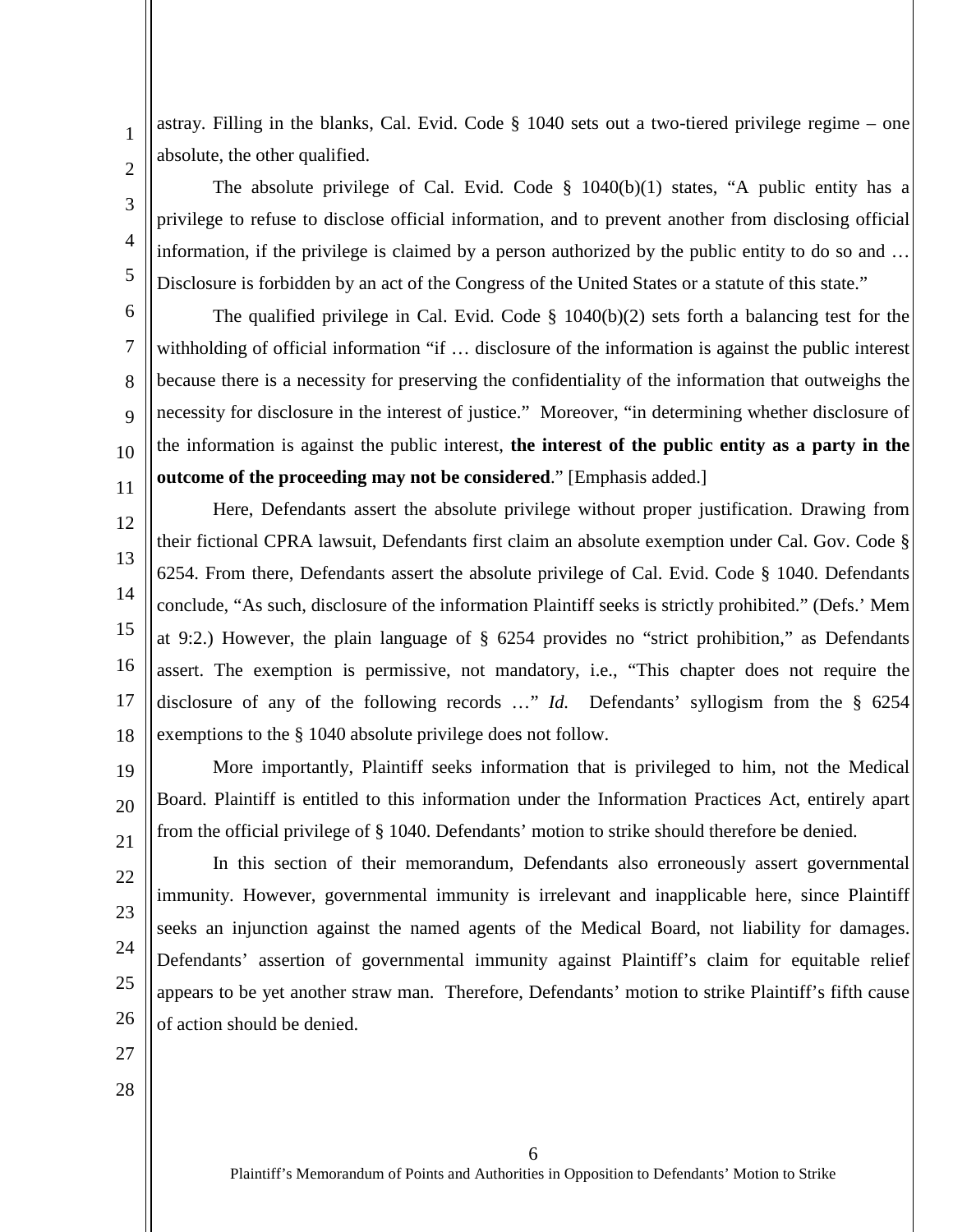astray. Filling in the blanks, Cal. Evid. Code § 1040 sets out a two-tiered privilege regime – one absolute, the other qualified.

The absolute privilege of Cal. Evid. Code  $\S$  1040(b)(1) states, "A public entity has a privilege to refuse to disclose official information, and to prevent another from disclosing official information, if the privilege is claimed by a person authorized by the public entity to do so and … Disclosure is forbidden by an act of the Congress of the United States or a statute of this state."

The qualified privilege in Cal. Evid. Code  $\S$  1040(b)(2) sets forth a balancing test for the withholding of official information "if ... disclosure of the information is against the public interest because there is a necessity for preserving the confidentiality of the information that outweighs the necessity for disclosure in the interest of justice." Moreover, "in determining whether disclosure of the information is against the public interest, **the interest of the public entity as a party in the outcome of the proceeding may not be considered**." [Emphasis added.]

12 13 14 15 16 17 18 Here, Defendants assert the absolute privilege without proper justification. Drawing from their fictional CPRA lawsuit, Defendants first claim an absolute exemption under Cal. Gov. Code § 6254. From there, Defendants assert the absolute privilege of Cal. Evid. Code § 1040. Defendants conclude, "As such, disclosure of the information Plaintiff seeks is strictly prohibited." (Defs.' Mem at 9:2.) However, the plain language of § 6254 provides no "strict prohibition," as Defendants assert. The exemption is permissive, not mandatory, i.e., "This chapter does not require the disclosure of any of the following records …" *Id.* Defendants' syllogism from the § 6254 exemptions to the § 1040 absolute privilege does not follow.

19 20 21 More importantly, Plaintiff seeks information that is privileged to him, not the Medical Board. Plaintiff is entitled to this information under the Information Practices Act, entirely apart from the official privilege of § 1040. Defendants' motion to strike should therefore be denied.

In this section of their memorandum, Defendants also erroneously assert governmental immunity. However, governmental immunity is irrelevant and inapplicable here, since Plaintiff seeks an injunction against the named agents of the Medical Board, not liability for damages. Defendants' assertion of governmental immunity against Plaintiff's claim for equitable relief appears to be yet another straw man. Therefore, Defendants' motion to strike Plaintiff's fifth cause of action should be denied.

27

22

23

24

25

26

1

2

3

4

5

6

7

8

9

10

11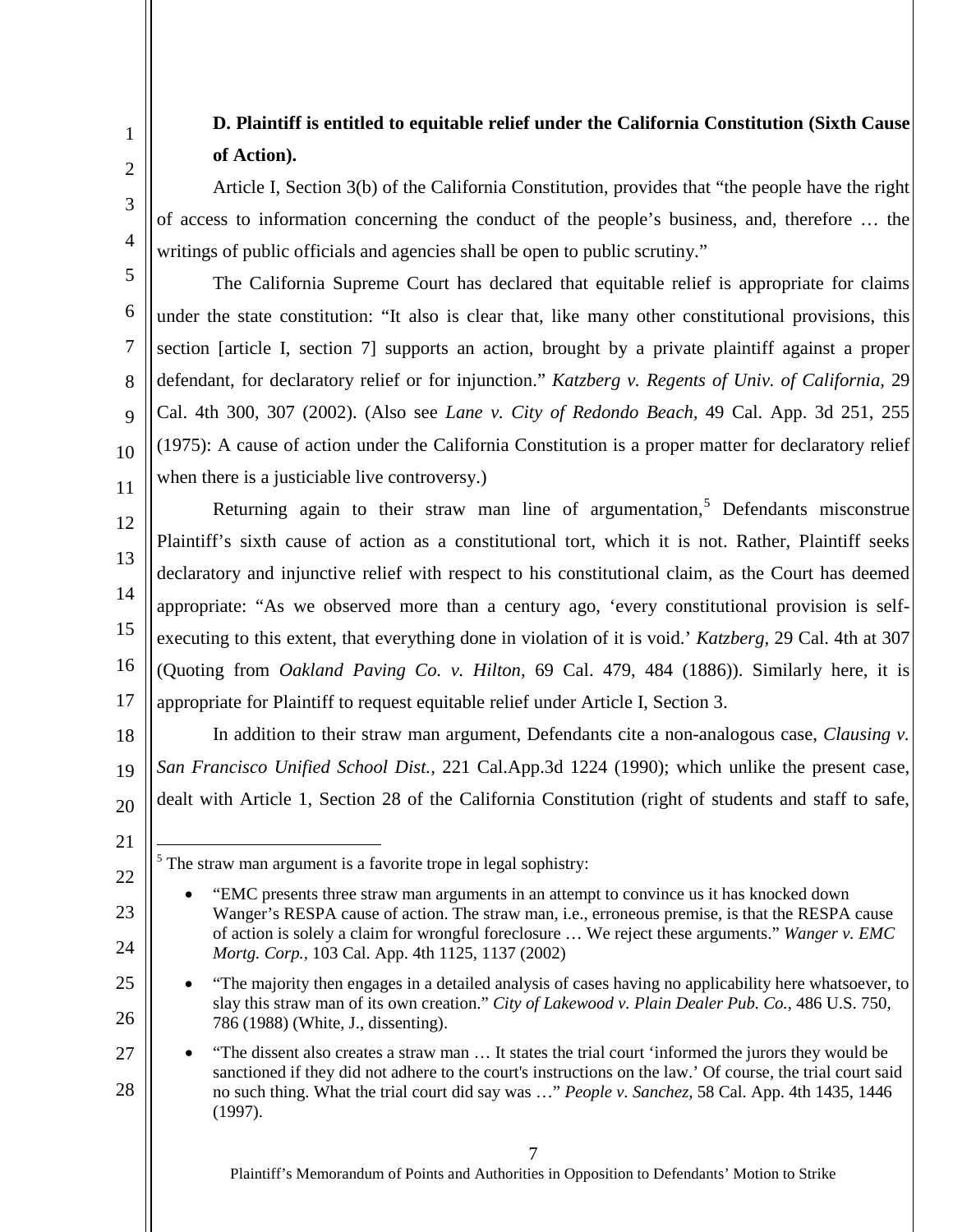### **D. Plaintiff is entitled to equitable relief under the California Constitution (Sixth Cause of Action).**

Article I, Section 3(b) of the California Constitution, provides that "the people have the right of access to information concerning the conduct of the people's business, and, therefore … the writings of public officials and agencies shall be open to public scrutiny."

The California Supreme Court has declared that equitable relief is appropriate for claims under the state constitution: "It also is clear that, like many other constitutional provisions, this section [article I, section 7] supports an action, brought by a private plaintiff against a proper defendant, for declaratory relief or for injunction." *Katzberg v. Regents of Univ. of California,* 29 Cal. 4th 300, 307 (2002). (Also see *Lane v. City of Redondo Beach,* 49 Cal. App. 3d 251, 255 (1975): A cause of action under the California Constitution is a proper matter for declaratory relief when there is a justiciable live controversy.)

12 13 14 15 16 17 Returning again to their straw man line of argumentation,<sup>[5](#page-6-0)</sup> Defendants misconstrue Plaintiff's sixth cause of action as a constitutional tort, which it is not. Rather, Plaintiff seeks declaratory and injunctive relief with respect to his constitutional claim, as the Court has deemed appropriate: "As we observed more than a century ago, 'every constitutional provision is selfexecuting to this extent, that everything done in violation of it is void.' *Katzberg,* 29 Cal. 4th at 307 (Quoting from *Oakland Paving Co. v. Hilton,* 69 Cal. 479, 484 (1886)). Similarly here, it is appropriate for Plaintiff to request equitable relief under Article I, Section 3.

18 19 20 In addition to their straw man argument, Defendants cite a non-analogous case, *Clausing v. San Francisco Unified School Dist.,* 221 Cal.App.3d 1224 (1990); which unlike the present case, dealt with Article 1, Section 28 of the California Constitution (right of students and staff to safe,

<span id="page-6-0"></span>22

23

24

25

26

1

2

3

4

5

6

7

8

9

10

11

Plaintiff's Memorandum of Points and Authorities in Opposition to Defendants' Motion to Strike

<sup>21</sup>

 $<sup>5</sup>$  The straw man argument is a favorite trope in legal sophistry:</sup>

<sup>• &</sup>quot;EMC presents three straw man arguments in an attempt to convince us it has knocked down Wanger's RESPA cause of action. The straw man, i.e., erroneous premise, is that the RESPA cause of action is solely a claim for wrongful foreclosure … We reject these arguments." *Wanger v. EMC Mortg. Corp.,* 103 Cal. App. 4th 1125, 1137 (2002)

<sup>•</sup> "The majority then engages in a detailed analysis of cases having no applicability here whatsoever, to slay this straw man of its own creation." *City of Lakewood v. Plain Dealer Pub. Co.,* 486 U.S. 750, 786 (1988) (White, J., dissenting).

<sup>27</sup> 28 • "The dissent also creates a straw man … It states the trial court 'informed the jurors they would be sanctioned if they did not adhere to the court's instructions on the law.' Of course, the trial court said no such thing. What the trial court did say was …" *People v. Sanchez,* 58 Cal. App. 4th 1435, 1446 (1997).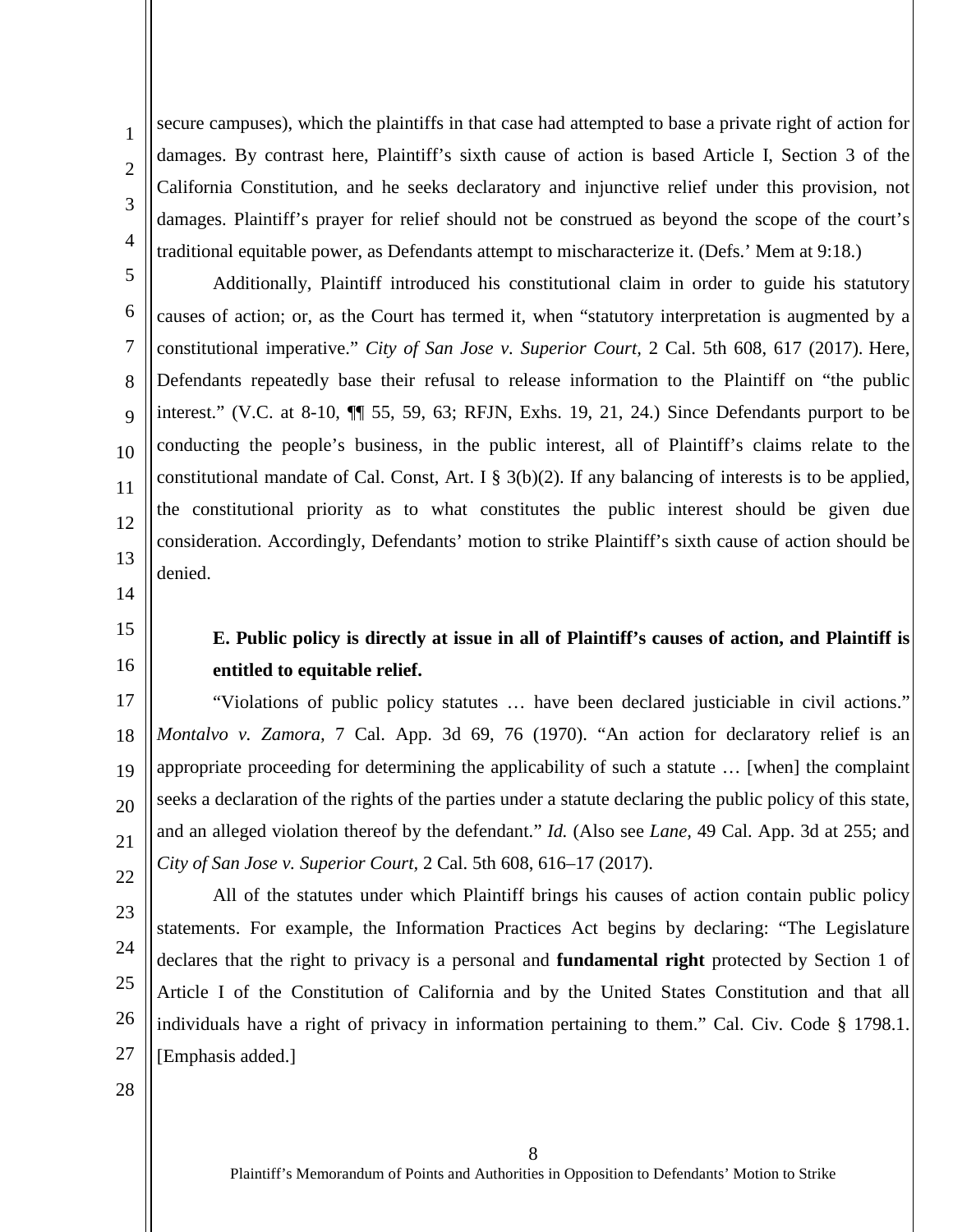secure campuses), which the plaintiffs in that case had attempted to base a private right of action for damages. By contrast here, Plaintiff's sixth cause of action is based Article I, Section 3 of the California Constitution, and he seeks declaratory and injunctive relief under this provision, not damages. Plaintiff's prayer for relief should not be construed as beyond the scope of the court's traditional equitable power, as Defendants attempt to mischaracterize it. (Defs.' Mem at 9:18.)

Additionally, Plaintiff introduced his constitutional claim in order to guide his statutory causes of action; or, as the Court has termed it, when "statutory interpretation is augmented by a constitutional imperative." *City of San Jose v. Superior Court,* 2 Cal. 5th 608, 617 (2017). Here, Defendants repeatedly base their refusal to release information to the Plaintiff on "the public interest." (V.C. at 8-10, ¶¶ 55, 59, 63; RFJN, Exhs. 19, 21, 24.) Since Defendants purport to be conducting the people's business, in the public interest, all of Plaintiff's claims relate to the constitutional mandate of Cal. Const, Art. I  $\S$  3(b)(2). If any balancing of interests is to be applied, the constitutional priority as to what constitutes the public interest should be given due consideration. Accordingly, Defendants' motion to strike Plaintiff's sixth cause of action should be denied.

14

1

2

3

4

5

6

7

8

9

10

11

12

13

#### 15 16

### **E. Public policy is directly at issue in all of Plaintiff's causes of action, and Plaintiff is entitled to equitable relief.**

17 18 19 20 21 22 "Violations of public policy statutes … have been declared justiciable in civil actions." *Montalvo v. Zamora,* 7 Cal. App. 3d 69, 76 (1970). "An action for declaratory relief is an appropriate proceeding for determining the applicability of such a statute … [when] the complaint seeks a declaration of the rights of the parties under a statute declaring the public policy of this state, and an alleged violation thereof by the defendant." *Id.* (Also see *Lane,* 49 Cal. App. 3d at 255; and *City of San Jose v. Superior Court,* 2 Cal. 5th 608, 616–17 (2017).

- 23
- 24
- 25

26

27

statements. For example, the Information Practices Act begins by declaring: "The Legislature declares that the right to privacy is a personal and **fundamental right** protected by Section 1 of Article I of the Constitution of California and by the United States Constitution and that all individuals have a right of privacy in information pertaining to them." Cal. Civ. Code § 1798.1. [Emphasis added.]

All of the statutes under which Plaintiff brings his causes of action contain public policy